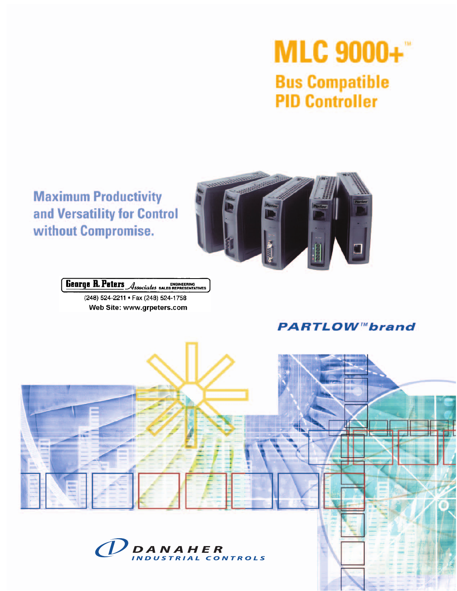# **MLC 9000+ Bus Compatible PID Controller**

# **Maximum Productivity** and Versatility for Control without Compromise.



George R. Peters Associates BALES REPRESENTATIVES

(248) 524-2211 · Fax (248) 524-1758 Web Site: www.grpeters.com

# **PARTLOW™brand**



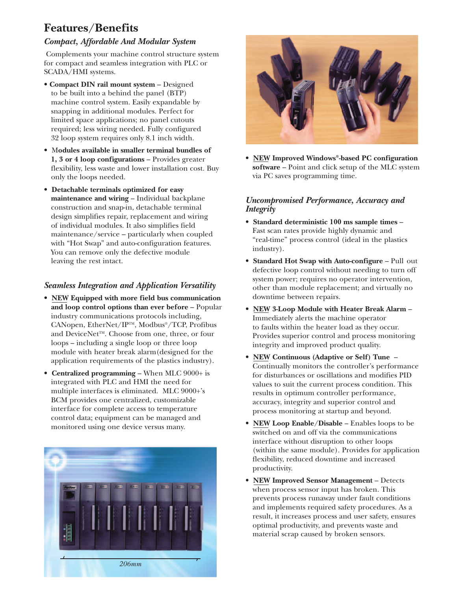# **Features/Benefits**

#### *Compact, Affordable And Modular System*

Complements your machine control structure system for compact and seamless integration with PLC or SCADA/HMI systems.

- **Compact DIN rail mount system** Designed to be built into a behind the panel (BTP) machine control system. Easily expandable by snapping in additional modules. Perfect for limited space applications; no panel cutouts required; less wiring needed. Fully configured 32 loop system requires only 8.1 inch width.
- M**odules available in smaller terminal bundles of 1, 3 or 4 loop configurations** – Provides greater flexibility, less waste and lower installation cost. Buy only the loops needed.
- **Detachable terminals optimized for easy maintenance and wiring** – Individual backplane construction and snap-in, detachable terminal design simplifies repair, replacement and wiring of individual modules. It also simplifies field maintenance/service – particularly when coupled with "Hot Swap" and auto-configuration features. You can remove only the defective module leaving the rest intact.

#### *Seamless Integration and Application Versatility*

- **NEW Equipped with more field bus communication and loop control options than ever before** – Popular industry communications protocols including, CANopen, EtherNet/IPTM, Modbus®/TCP, Profibus and DeviceNet<sup>™</sup>. Choose from one, three, or four loops – including a single loop or three loop module with heater break alarm(designed for the application requirements of the plastics industry).
- **Centralized programming** When MLC 9000+ is integrated with PLC and HMI the need for multiple interfaces is eliminated. MLC 9000+'s BCM provides one centralized, customizable interface for complete access to temperature control data; equipment can be managed and monitored using one device versus many.





• **NEW Improved Windows®-based PC configuration software** – Point and click setup of the MLC system via PC saves programming time.

#### *Uncompromised Performance, Accuracy and Integrity*

- **Standard deterministic 100 ms sample times** Fast scan rates provide highly dynamic and "real-time" process control (ideal in the plastics industry).
- **Standard Hot Swap with Auto-configure** Pull out defective loop control without needing to turn off system power; requires no operator intervention, other than module replacement; and virtually no downtime between repairs.
- **NEW 3-Loop Module with Heater Break Alarm**  Immediately alerts the machine operator to faults within the heater load as they occur. Provides superior control and process monitoring integrity and improved product quality.
- **NEW Continuous (Adaptive or Self) Tune**  Continually monitors the controller's performance for disturbances or oscillations and modifies PID values to suit the current process condition. This results in optimum controller performance, accuracy, integrity and superior control and process monitoring at startup and beyond.
- **NEW Loop Enable/Disable** Enables loops to be switched on and off via the communications interface without disruption to other loops (within the same module). Provides for application flexibility, reduced downtime and increased productivity.
- **NEW Improved Sensor Management** Detects when process sensor input has broken. This prevents process runaway under fault conditions and implements required safety procedures. As a result, it increases process and user safety, ensures optimal productivity, and prevents waste and material scrap caused by broken sensors.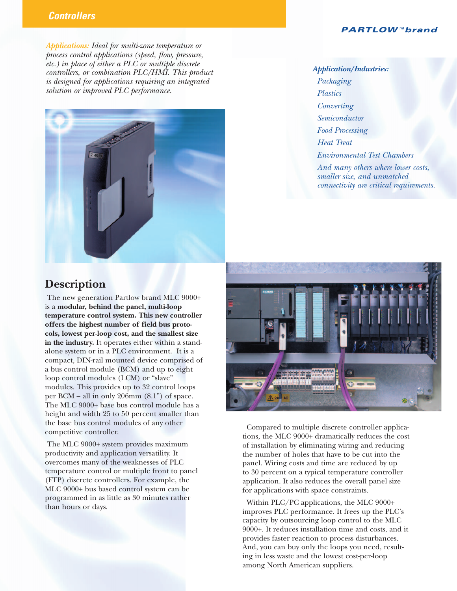#### **PARTLOW™brand**

*Applications: Ideal for multi-zone temperature or process control applications (speed, flow, pressure, etc.) in place of either a PLC or multiple discrete controllers, or combination PLC/HMI. This product is designed for applications requiring an integrated solution or improved PLC performance.* 



*Application/Industries: Packaging Plastics Converting Semiconductor Food Processing Heat Treat Environmental Test Chambers And many others where lower costs, smaller size, and unmatched* 

*connectivity are critical requirements.*

### **Description**

**Controllers** 

The new generation Partlow brand MLC 9000+ is a **modular, behind the panel, multi-loop temperature control system. This new controller offers the highest number of field bus protocols, lowest per-loop cost, and the smallest size in the industry.** It operates either within a standalone system or in a PLC environment. It is a compact, DIN-rail mounted device comprised of a bus control module (BCM) and up to eight loop control modules (LCM) or "slave" modules. This provides up to 32 control loops per BCM – all in only 206mm (8.1") of space. The MLC 9000+ base bus control module has a height and width 25 to 50 percent smaller than the base bus control modules of any other competitive controller.

The MLC 9000+ system provides maximum productivity and application versatility. It overcomes many of the weaknesses of PLC temperature control or multiple front to panel (FTP) discrete controllers. For example, the MLC 9000+ bus based control system can be programmed in as little as 30 minutes rather than hours or days.



Compared to multiple discrete controller applications, the MLC 9000+ dramatically reduces the cost of installation by eliminating wiring and reducing the number of holes that have to be cut into the panel. Wiring costs and time are reduced by up to 30 percent on a typical temperature controller application. It also reduces the overall panel size for applications with space constraints.

Within PLC/PC applications, the MLC 9000+ improves PLC performance. It frees up the PLC's capacity by outsourcing loop control to the MLC 9000+. It reduces installation time and costs, and it provides faster reaction to process disturbances. And, you can buy only the loops you need, resulting in less waste and the lowest cost-per-loop among North American suppliers.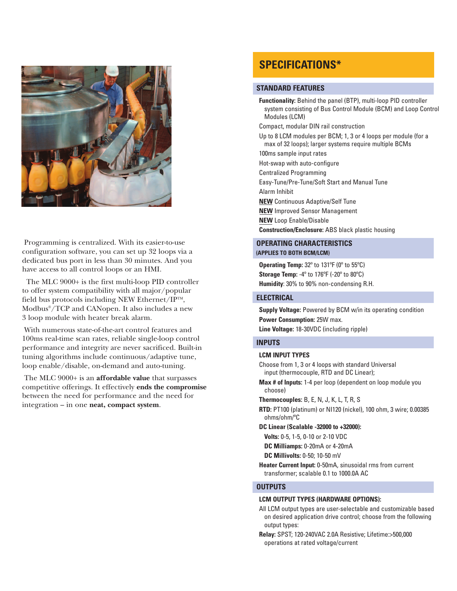

Programming is centralized. With its easier-to-use configuration software, you can set up 32 loops via a dedicated bus port in less than 30 minutes. And you have access to all control loops or an HMI.

The MLC 9000+ is the first multi-loop PID controller to offer system compatibility with all major/popular field bus protocols including NEW Ethernet/IP<sup>TM</sup>, Modbus®/TCP and CANopen. It also includes a new 3 loop module with heater break alarm.

With numerous state-of-the-art control features and 100ms real-time scan rates, reliable single-loop control performance and integrity are never sacrificed. Built-in tuning algorithms include continuous/adaptive tune, loop enable/disable, on-demand and auto-tuning.

The MLC 9000+ is an **affordable value** that surpasses competitive offerings. It effectively **ends the compromise** between the need for performance and the need for integration – in one **neat, compact system**.

## **SPECIFICATIONS\***

#### **STANDARD FEATURES**

**Functionality:** Behind the panel (BTP), multi-loop PID controller system consisting of Bus Control Module (BCM) and Loop Control Modules (LCM) Compact, modular DIN rail construction Up to 8 LCM modules per BCM; 1, 3 or 4 loops per module (for a max of 32 loops); larger systems require multiple BCMs 100ms sample input rates Hot-swap with auto-configure Centralized Programming Easy-Tune/Pre-Tune/Soft Start and Manual Tune Alarm Inhibit **NEW** Continuous Adaptive/Self Tune **NEW** Improved Sensor Management **NEW** Loop Enable/Disable **Construction/Enclosure:** ABS black plastic housing **OPERATING CHARACTERISTICS** 

### **(APPLIES TO BOTH BCM/LCM)**

**Operating Temp:** 32º to 131ºF (0º to 55ºC) **Storage Temp:** -4º to 176ºF (-20º to 80ºC) **Humidity**: 30% to 90% non-condensing R.H.

#### **ELECTRICAL**

**Supply Voltage:** Powered by BCM w/in its operating condition **Power Consumption:** 25W max.

**Line Voltage:** 18-30VDC (including ripple)

#### **INPUTS**

#### **LCM INPUT TYPES**

Choose from 1, 3 or 4 loops with standard Universal input (thermocouple, RTD and DC Linear);

**Max # of Inputs:** 1-4 per loop (dependent on loop module you choose)

**Thermocouples:** B, E, N, J, K, L, T, R, S

**RTD:** PT100 (platinum) or NI120 (nickel), 100 ohm, 3 wire; 0.00385 ohms/ohm/ºC

**DC Linear (Scalable -32000 to +32000):**

**Volts:** 0-5, 1-5, 0-10 or 2-10 VDC

**DC Milliamps:** 0-20mA or 4-20mA

**DC Millivolts:** 0-50; 10-50 mV

**Heater Current Input:** 0-50mA, sinusoidal rms from current transformer; scalable 0.1 to 1000.0A AC

#### **OUTPUTS**

#### **LCM OUTPUT TYPES (HARDWARE OPTIONS):**

All LCM output types are user-selectable and customizable based on desired application drive control; choose from the following output types:

**Relay:** SPST; 120-240VAC 2.0A Resistive; Lifetime:>500,000 operations at rated voltage/current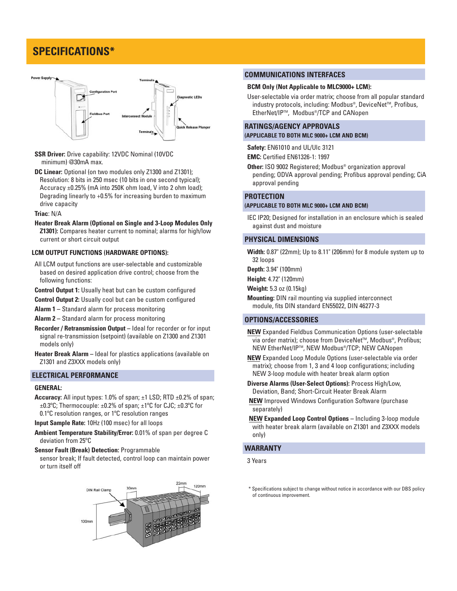# **SPECIFICATIONS\***



- **SSR Driver:** Drive capability: 12VDC Nominal (10VDC minimum) @30mA max.
- **DC Linear:** Optional (on two modules only Z1300 and Z1301); Resolution: 8 bits in 250 msec (10 bits in one second typical); Accuracy ±0.25% (mA into 250K ohm load, V into 2 ohm load); Degrading linearly to +0.5% for increasing burden to maximum drive capacity
- **Triac**: N/A

**Heater Break Alarm (Optional on Single and 3-Loop Modules Only Z1301):** Compares heater current to nominal; alarms for high/low current or short circuit output

#### **LCM OUTPUT FUNCTIONS (HARDWARE OPTIONS):**

- All LCM output functions are user-selectable and customizable based on desired application drive control; choose from the following functions:
- **Control Output 1:** Usually heat but can be custom configured
- **Control Output 2:** Usually cool but can be custom configured
- **Alarm 1 –** Standard alarm for process monitoring
- **Alarm 2 –** Standard alarm for process monitoring
- **Recorder / Retransmission Output –** Ideal for recorder or for input signal re-transmission (setpoint) (available on Z1300 and Z1301 models only)
- **Heater Break Alarm –** Ideal for plastics applications (available on Z1301 and Z3XXX models only)

#### **ELECTRICAL PERFORMANCE**

#### **GENERAL:**

**Accuracy:** All input types: 1.0% of span; ±1 LSD; RTD ±0.2% of span; ±0.3ºC; Thermocouple: ±0.2% of span; ±1ºC for CJC; ±0.3ºC for 0.1ºC resolution ranges, or 1ºC resolution ranges

**Input Sample Rate:** 10Hz (100 msec) for all loops

- **Ambient Temperature Stability/Error:** 0.01% of span per degree C deviation from 25ºC
- **Sensor Fault (Break) Detection:** Programmable

sensor break; If fault detected, control loop can maintain power or turn itself off



#### **COMMUNICATIONS INTERFACES**

#### **BCM Only (Not Applicable to MLC9000+ LCM):**

User-selectable via order matrix; choose from all popular standard industry protocols, including: Modbus®, DeviceNet™, Profibus, EtherNet/IPTM, Modbus®/TCP and CANopen

#### **RATINGS/AGENCY APPROVALS (APPLICABLE TO BOTH MLC 9000+ LCM AND BCM)**

**Safety:** EN61010 and UL/Ulc 3121

**EMC:** Certified EN61326-1: 1997

**Other:** ISO 9002 Registered; Modbus® organization approval pending; ODVA approval pending; Profibus approval pending; CiA approval pending

#### **PROTECTION**

#### **(APPLICABLE TO BOTH MLC 9000+ LCM AND BCM)**

IEC IP20; Designed for installation in an enclosure which is sealed against dust and moisture

#### **PHYSICAL DIMENSIONS**

**Width:** 0.87" (22mm); Up to 8.11" (206mm) for 8 module system up to 32 loops

**Depth:** 3.94" (100mm)

**Height:** 4.72" (120mm)

**Weight:** 5.3 oz (0.15kg)

**Mounting:** DIN rail mounting via supplied interconnect module, fits DIN standard EN55022, DIN 46277-3

#### **OPTIONS/ACCESSORIES**

- **NEW** Expanded Fieldbus Communication Options (user-selectable via order matrix); choose from DeviceNet™, Modbus®, Profibus; NEW EtherNet/IP™, NEW Modbus®/TCP; NEW CANopen
- **NEW** Expanded Loop Module Options (user-selectable via order matrix); choose from 1, 3 and 4 loop configurations; including NEW 3-loop module with heater break alarm option

**Diverse Alarms (User-Select Options):** Process High/Low, Deviation, Band; Short-Circuit Heater Break Alarm

- **NEW** Improved Windows Configuration Software (purchase separately)
- **NEW Expanded Loop Control Options –** Including 3-loop module with heater break alarm (available on Z1301 and Z3XXX models only)

#### **WARRANTY**

3 Years

<sup>\*</sup> Specifications subject to change without notice in accordance with our DBS policy of continuous improvement.